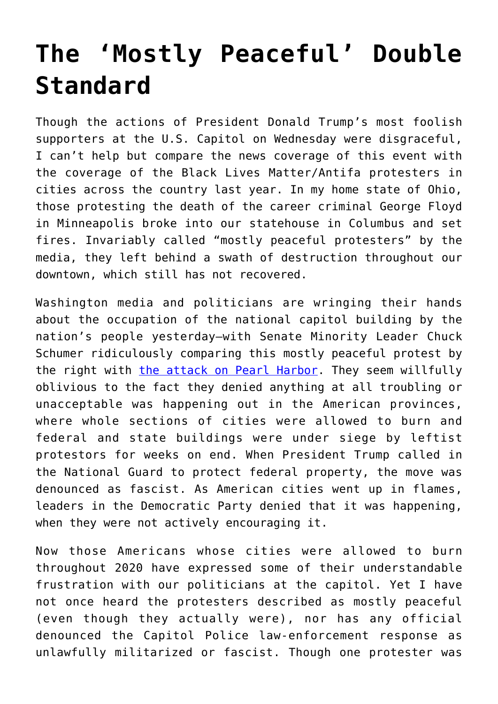## **[The 'Mostly Peaceful' Double](https://intellectualtakeout.org/2021/01/the-mostly-peaceful-double-standard/) [Standard](https://intellectualtakeout.org/2021/01/the-mostly-peaceful-double-standard/)**

Though the actions of President Donald Trump's most foolish supporters at the U.S. Capitol on Wednesday were disgraceful, I can't help but compare the news coverage of this event with the coverage of the Black Lives Matter/Antifa protesters in cities across the country last year. In my home state of Ohio, those protesting the death of the career criminal George Floyd in Minneapolis broke into our statehouse in Columbus and set fires. Invariably called "mostly peaceful protesters" by the media, they left behind a swath of destruction throughout our downtown, which still has not recovered.

Washington media and politicians are wringing their hands about the occupation of the national capitol building by the nation's people yesterday—with Senate Minority Leader Chuck Schumer ridiculously comparing this mostly peaceful protest by the right with [the attack on Pearl Harbor](https://www.cbc.ca/news/world/capitol-riot-democracy-warning-1.5864213). They seem willfully oblivious to the fact they denied anything at all troubling or unacceptable was happening out in the American provinces, where whole sections of cities were allowed to burn and federal and state buildings were under siege by leftist protestors for weeks on end. When President Trump called in the National Guard to protect federal property, the move was denounced as fascist. As American cities went up in flames, leaders in the Democratic Party denied that it was happening, when they were not actively encouraging it.

Now those Americans whose cities were allowed to burn throughout 2020 have expressed some of their understandable frustration with our politicians at the capitol. Yet I have not once heard the protesters described as mostly peaceful (even though they actually were), nor has any official denounced the Capitol Police law-enforcement response as unlawfully militarized or fascist. Though one protester was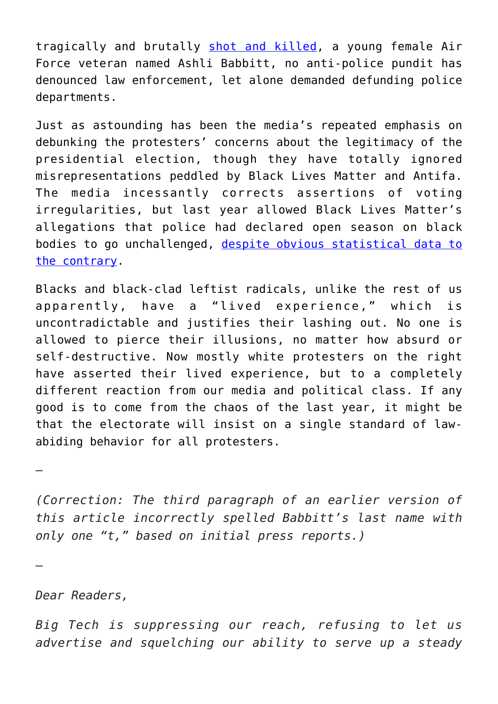tragically and brutally [shot and killed](https://www.theguardian.com/us-news/2021/jan/07/ashli-babbitt-woman-shot-and-killed-in-storming-of-us-capitol-named), a young female Air Force veteran named Ashli Babbitt, no anti-police pundit has denounced law enforcement, let alone demanded defunding police departments.

Just as astounding has been the media's repeated emphasis on debunking the protesters' concerns about the legitimacy of the presidential election, though they have totally ignored misrepresentations peddled by Black Lives Matter and Antifa. The media incessantly corrects assertions of voting irregularities, but last year allowed Black Lives Matter's allegations that police had declared open season on black bodies to go unchallenged, [despite obvious statistical data to](https://www.chroniclesmagazine.org/the-left-s-delusions-on-crime-and-policing/) [the contrary](https://www.chroniclesmagazine.org/the-left-s-delusions-on-crime-and-policing/).

Blacks and black-clad leftist radicals, unlike the rest of us apparently, have a "lived experience," which is uncontradictable and justifies their lashing out. No one is allowed to pierce their illusions, no matter how absurd or self-destructive. Now mostly white protesters on the right have asserted their lived experience, but to a completely different reaction from our media and political class. If any good is to come from the chaos of the last year, it might be that the electorate will insist on a single standard of lawabiding behavior for all protesters.

*(Correction: The third paragraph of an earlier version of this article incorrectly spelled Babbitt's last name with only one "t," based on initial press reports.)*

*Dear Readers,*

—

—

*Big Tech is suppressing our reach, refusing to let us advertise and squelching our ability to serve up a steady*